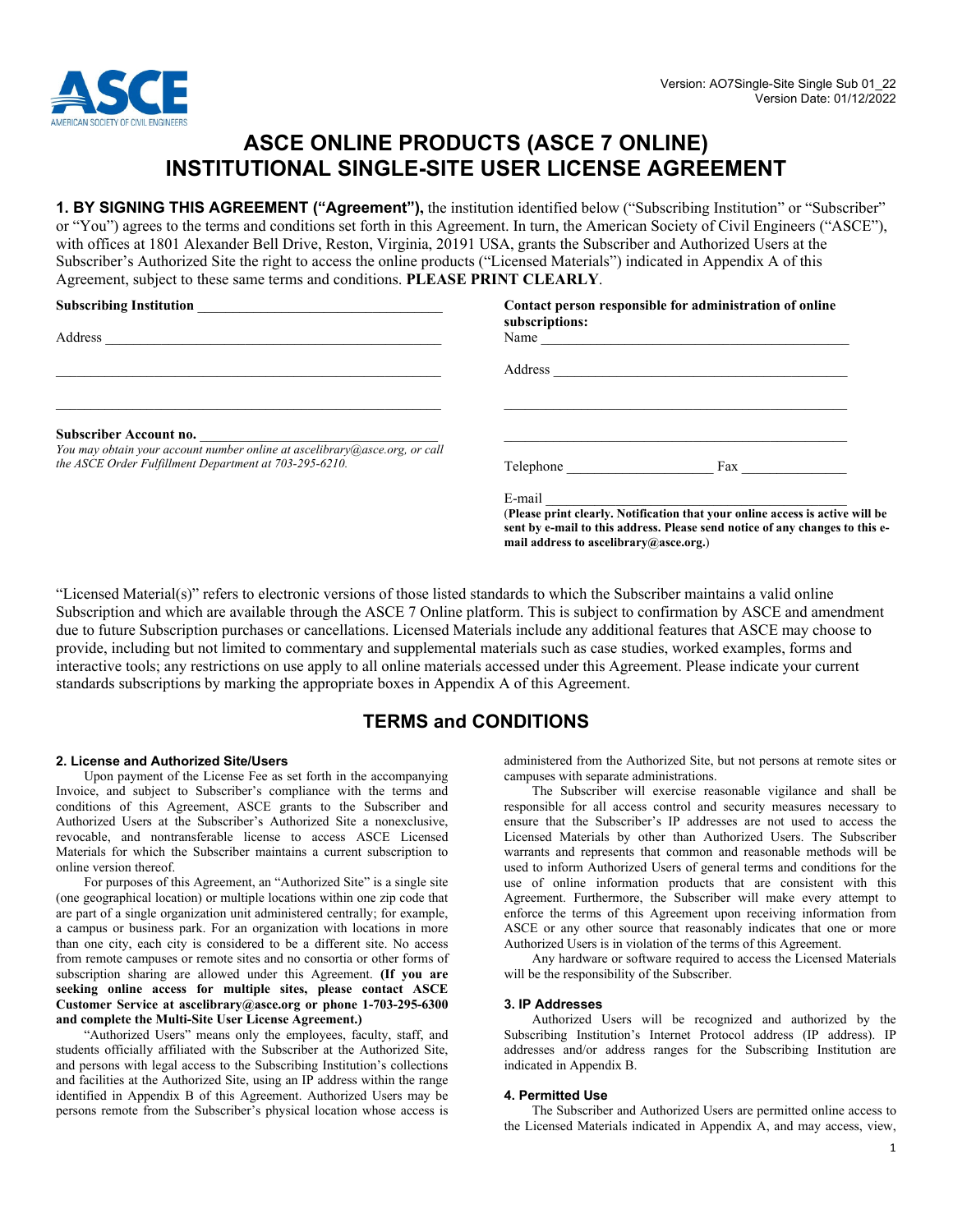

# **ASCE ONLINE PRODUCTS (ASCE 7 ONLINE) INSTITUTIONAL SINGLE-SITE USER LICENSE AGREEMENT**

**1. BY SIGNING THIS AGREEMENT ("Agreement"),** the institution identified below ("Subscribing Institution" or "Subscriber" or "You") agrees to the terms and conditions set forth in this Agreement. In turn, the American Society of Civil Engineers ("ASCE"), with offices at 1801 Alexander Bell Drive, Reston, Virginia, 20191 USA, grants the Subscriber and Authorized Users at the Subscriber's Authorized Site the right to access the online products ("Licensed Materials") indicated in Appendix A of this Agreement, subject to these same terms and conditions. **PLEASE PRINT CLEARLY**.

| <b>Subscribing Institution</b>                                                                       | subscriptions:                                   | Contact person responsible for administration of online                                                                                                       |
|------------------------------------------------------------------------------------------------------|--------------------------------------------------|---------------------------------------------------------------------------------------------------------------------------------------------------------------|
| Address                                                                                              | Name                                             |                                                                                                                                                               |
|                                                                                                      | Address                                          |                                                                                                                                                               |
| Subscriber Account no.<br>You may obtain your account number online at ascelibrary@asce.org, or call |                                                  |                                                                                                                                                               |
| the ASCE Order Fulfillment Department at 703-295-6210.                                               | Telephone                                        | Fax                                                                                                                                                           |
|                                                                                                      | E-mail<br>mail address to ascelibrary@asce.org.) | (Please print clearly. Notification that your online access is active will be<br>sent by e-mail to this address. Please send notice of any changes to this e- |

"Licensed Material(s)" refers to electronic versions of those listed standards to which the Subscriber maintains a valid online Subscription and which are available through the ASCE 7 Online platform. This is subject to confirmation by ASCE and amendment due to future Subscription purchases or cancellations. Licensed Materials include any additional features that ASCE may choose to provide, including but not limited to commentary and supplemental materials such as case studies, worked examples, forms and interactive tools; any restrictions on use apply to all online materials accessed under this Agreement. Please indicate your current standards subscriptions by marking the appropriate boxes in Appendix A of this Agreement.

### **TERMS and CONDITIONS**

#### **2. License and Authorized Site/Users**

Upon payment of the License Fee as set forth in the accompanying Invoice, and subject to Subscriber's compliance with the terms and conditions of this Agreement, ASCE grants to the Subscriber and Authorized Users at the Subscriber's Authorized Site a nonexclusive, revocable, and nontransferable license to access ASCE Licensed Materials for which the Subscriber maintains a current subscription to online version thereof.

For purposes of this Agreement, an "Authorized Site" is a single site (one geographical location) or multiple locations within one zip code that are part of a single organization unit administered centrally; for example, a campus or business park. For an organization with locations in more than one city, each city is considered to be a different site. No access from remote campuses or remote sites and no consortia or other forms of subscription sharing are allowed under this Agreement. **(If you are seeking online access for multiple sites, please contact ASCE Customer Service at ascelibrary@asce.org or phone 1-703-295-6300 and complete the Multi-Site User License Agreement.)** 

"Authorized Users" means only the employees, faculty, staff, and students officially affiliated with the Subscriber at the Authorized Site, and persons with legal access to the Subscribing Institution's collections and facilities at the Authorized Site, using an IP address within the range identified in Appendix B of this Agreement. Authorized Users may be persons remote from the Subscriber's physical location whose access is

administered from the Authorized Site, but not persons at remote sites or campuses with separate administrations.

The Subscriber will exercise reasonable vigilance and shall be responsible for all access control and security measures necessary to ensure that the Subscriber's IP addresses are not used to access the Licensed Materials by other than Authorized Users. The Subscriber warrants and represents that common and reasonable methods will be used to inform Authorized Users of general terms and conditions for the use of online information products that are consistent with this Agreement. Furthermore, the Subscriber will make every attempt to enforce the terms of this Agreement upon receiving information from ASCE or any other source that reasonably indicates that one or more Authorized Users is in violation of the terms of this Agreement.

Any hardware or software required to access the Licensed Materials will be the responsibility of the Subscriber.

#### **3. IP Addresses**

Authorized Users will be recognized and authorized by the Subscribing Institution's Internet Protocol address (IP address). IP addresses and/or address ranges for the Subscribing Institution are indicated in Appendix B.

#### **4. Permitted Use**

The Subscriber and Authorized Users are permitted online access to the Licensed Materials indicated in Appendix A, and may access, view,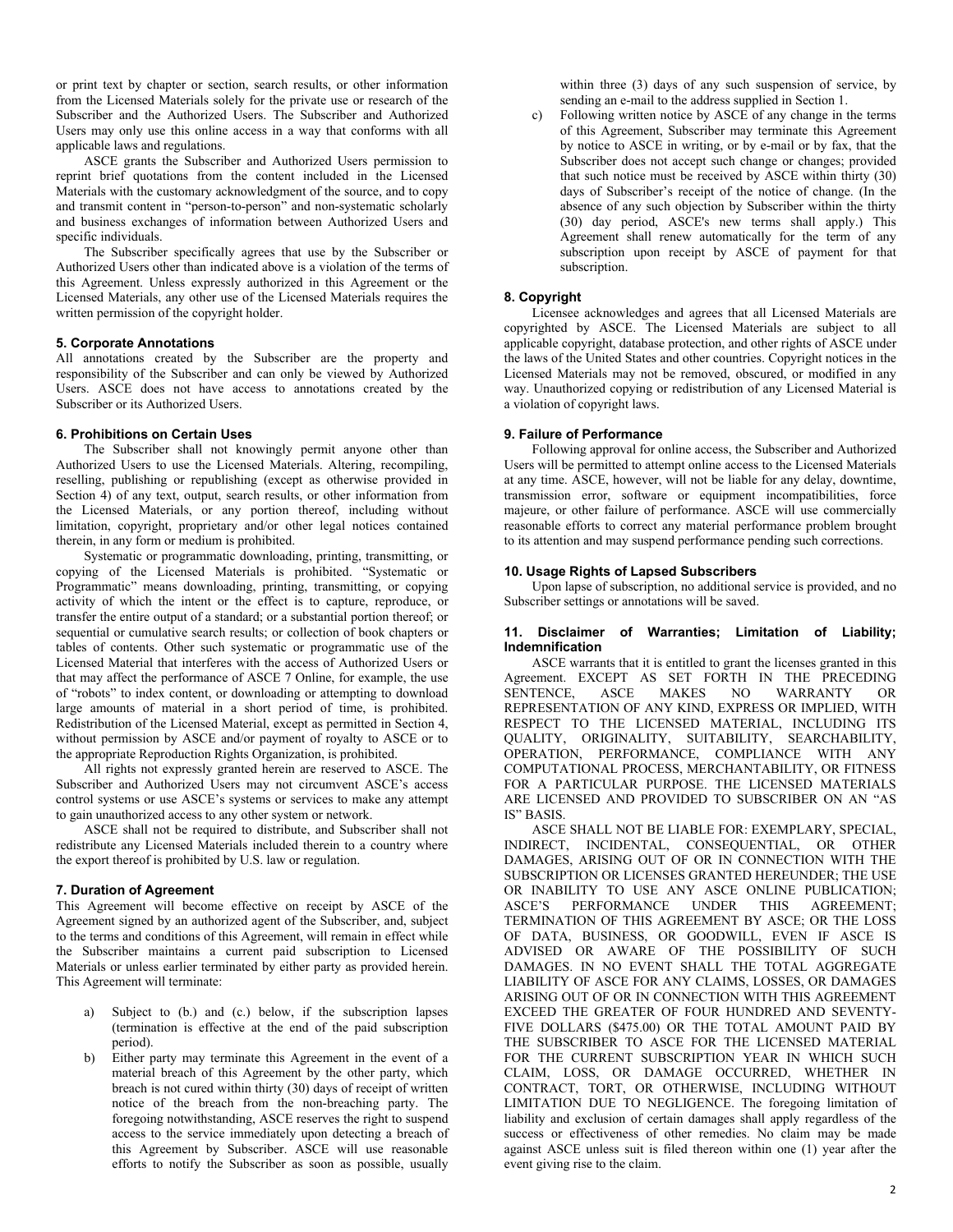or print text by chapter or section, search results, or other information from the Licensed Materials solely for the private use or research of the Subscriber and the Authorized Users. The Subscriber and Authorized Users may only use this online access in a way that conforms with all applicable laws and regulations.

ASCE grants the Subscriber and Authorized Users permission to reprint brief quotations from the content included in the Licensed Materials with the customary acknowledgment of the source, and to copy and transmit content in "person-to-person" and non-systematic scholarly and business exchanges of information between Authorized Users and specific individuals.

The Subscriber specifically agrees that use by the Subscriber or Authorized Users other than indicated above is a violation of the terms of this Agreement. Unless expressly authorized in this Agreement or the Licensed Materials, any other use of the Licensed Materials requires the written permission of the copyright holder.

#### **5. Corporate Annotations**

All annotations created by the Subscriber are the property and responsibility of the Subscriber and can only be viewed by Authorized Users. ASCE does not have access to annotations created by the Subscriber or its Authorized Users.

#### **6. Prohibitions on Certain Uses**

The Subscriber shall not knowingly permit anyone other than Authorized Users to use the Licensed Materials. Altering, recompiling, reselling, publishing or republishing (except as otherwise provided in Section 4) of any text, output, search results, or other information from the Licensed Materials, or any portion thereof, including without limitation, copyright, proprietary and/or other legal notices contained therein, in any form or medium is prohibited.

Systematic or programmatic downloading, printing, transmitting, or copying of the Licensed Materials is prohibited. "Systematic or Programmatic" means downloading, printing, transmitting, or copying activity of which the intent or the effect is to capture, reproduce, or transfer the entire output of a standard; or a substantial portion thereof; or sequential or cumulative search results; or collection of book chapters or tables of contents. Other such systematic or programmatic use of the Licensed Material that interferes with the access of Authorized Users or that may affect the performance of ASCE 7 Online, for example, the use of "robots" to index content, or downloading or attempting to download large amounts of material in a short period of time, is prohibited. Redistribution of the Licensed Material, except as permitted in Section 4, without permission by ASCE and/or payment of royalty to ASCE or to the appropriate Reproduction Rights Organization, is prohibited.

All rights not expressly granted herein are reserved to ASCE. The Subscriber and Authorized Users may not circumvent ASCE's access control systems or use ASCE's systems or services to make any attempt to gain unauthorized access to any other system or network.

ASCE shall not be required to distribute, and Subscriber shall not redistribute any Licensed Materials included therein to a country where the export thereof is prohibited by U.S. law or regulation.

#### **7. Duration of Agreement**

This Agreement will become effective on receipt by ASCE of the Agreement signed by an authorized agent of the Subscriber, and, subject to the terms and conditions of this Agreement, will remain in effect while the Subscriber maintains a current paid subscription to Licensed Materials or unless earlier terminated by either party as provided herein. This Agreement will terminate:

- a) Subject to (b.) and (c.) below, if the subscription lapses (termination is effective at the end of the paid subscription period).
- b) Either party may terminate this Agreement in the event of a material breach of this Agreement by the other party, which breach is not cured within thirty (30) days of receipt of written notice of the breach from the non-breaching party. The foregoing notwithstanding, ASCE reserves the right to suspend access to the service immediately upon detecting a breach of this Agreement by Subscriber. ASCE will use reasonable efforts to notify the Subscriber as soon as possible, usually

within three (3) days of any such suspension of service, by sending an e-mail to the address supplied in Section 1.

c) Following written notice by ASCE of any change in the terms of this Agreement, Subscriber may terminate this Agreement by notice to ASCE in writing, or by e-mail or by fax, that the Subscriber does not accept such change or changes; provided that such notice must be received by ASCE within thirty (30) days of Subscriber's receipt of the notice of change. (In the absence of any such objection by Subscriber within the thirty (30) day period, ASCE's new terms shall apply.) This Agreement shall renew automatically for the term of any subscription upon receipt by ASCE of payment for that subscription.

#### **8. Copyright**

Licensee acknowledges and agrees that all Licensed Materials are copyrighted by ASCE. The Licensed Materials are subject to all applicable copyright, database protection, and other rights of ASCE under the laws of the United States and other countries. Copyright notices in the Licensed Materials may not be removed, obscured, or modified in any way. Unauthorized copying or redistribution of any Licensed Material is a violation of copyright laws.

#### **9. Failure of Performance**

Following approval for online access, the Subscriber and Authorized Users will be permitted to attempt online access to the Licensed Materials at any time. ASCE, however, will not be liable for any delay, downtime, transmission error, software or equipment incompatibilities, force majeure, or other failure of performance. ASCE will use commercially reasonable efforts to correct any material performance problem brought to its attention and may suspend performance pending such corrections.

#### **10. Usage Rights of Lapsed Subscribers**

Upon lapse of subscription, no additional service is provided, and no Subscriber settings or annotations will be saved.

#### **11. Disclaimer of Warranties; Limitation of Liability; Indemnification**

ASCE warrants that it is entitled to grant the licenses granted in this Agreement. EXCEPT AS SET FORTH IN THE PRECEDING SENTENCE, ASCE MAKES NO WARRANTY OR REPRESENTATION OF ANY KIND, EXPRESS OR IMPLIED, WITH RESPECT TO THE LICENSED MATERIAL, INCLUDING ITS QUALITY, ORIGINALITY, SUITABILITY, SEARCHABILITY, OPERATION, PERFORMANCE, COMPLIANCE WITH ANY COMPUTATIONAL PROCESS, MERCHANTABILITY, OR FITNESS FOR A PARTICULAR PURPOSE. THE LICENSED MATERIALS ARE LICENSED AND PROVIDED TO SUBSCRIBER ON AN "AS IS" BASIS.

ASCE SHALL NOT BE LIABLE FOR: EXEMPLARY, SPECIAL, INDIRECT, INCIDENTAL, CONSEQUENTIAL, OR OTHER DAMAGES, ARISING OUT OF OR IN CONNECTION WITH THE SUBSCRIPTION OR LICENSES GRANTED HEREUNDER; THE USE OR INABILITY TO USE ANY ASCE ONLINE PUBLICATION;<br>ASCE'S PERFORMANCE UNDER THIS AGREEMENT; PERFORMANCE UNDER THIS AGREEMENT; TERMINATION OF THIS AGREEMENT BY ASCE; OR THE LOSS OF DATA, BUSINESS, OR GOODWILL, EVEN IF ASCE IS ADVISED OR AWARE OF THE POSSIBILITY OF SUCH DAMAGES. IN NO EVENT SHALL THE TOTAL AGGREGATE LIABILITY OF ASCE FOR ANY CLAIMS, LOSSES, OR DAMAGES ARISING OUT OF OR IN CONNECTION WITH THIS AGREEMENT EXCEED THE GREATER OF FOUR HUNDRED AND SEVENTY-FIVE DOLLARS (\$475.00) OR THE TOTAL AMOUNT PAID BY THE SUBSCRIBER TO ASCE FOR THE LICENSED MATERIAL FOR THE CURRENT SUBSCRIPTION YEAR IN WHICH SUCH CLAIM, LOSS, OR DAMAGE OCCURRED, WHETHER IN CONTRACT, TORT, OR OTHERWISE, INCLUDING WITHOUT LIMITATION DUE TO NEGLIGENCE. The foregoing limitation of liability and exclusion of certain damages shall apply regardless of the success or effectiveness of other remedies. No claim may be made against ASCE unless suit is filed thereon within one (1) year after the event giving rise to the claim.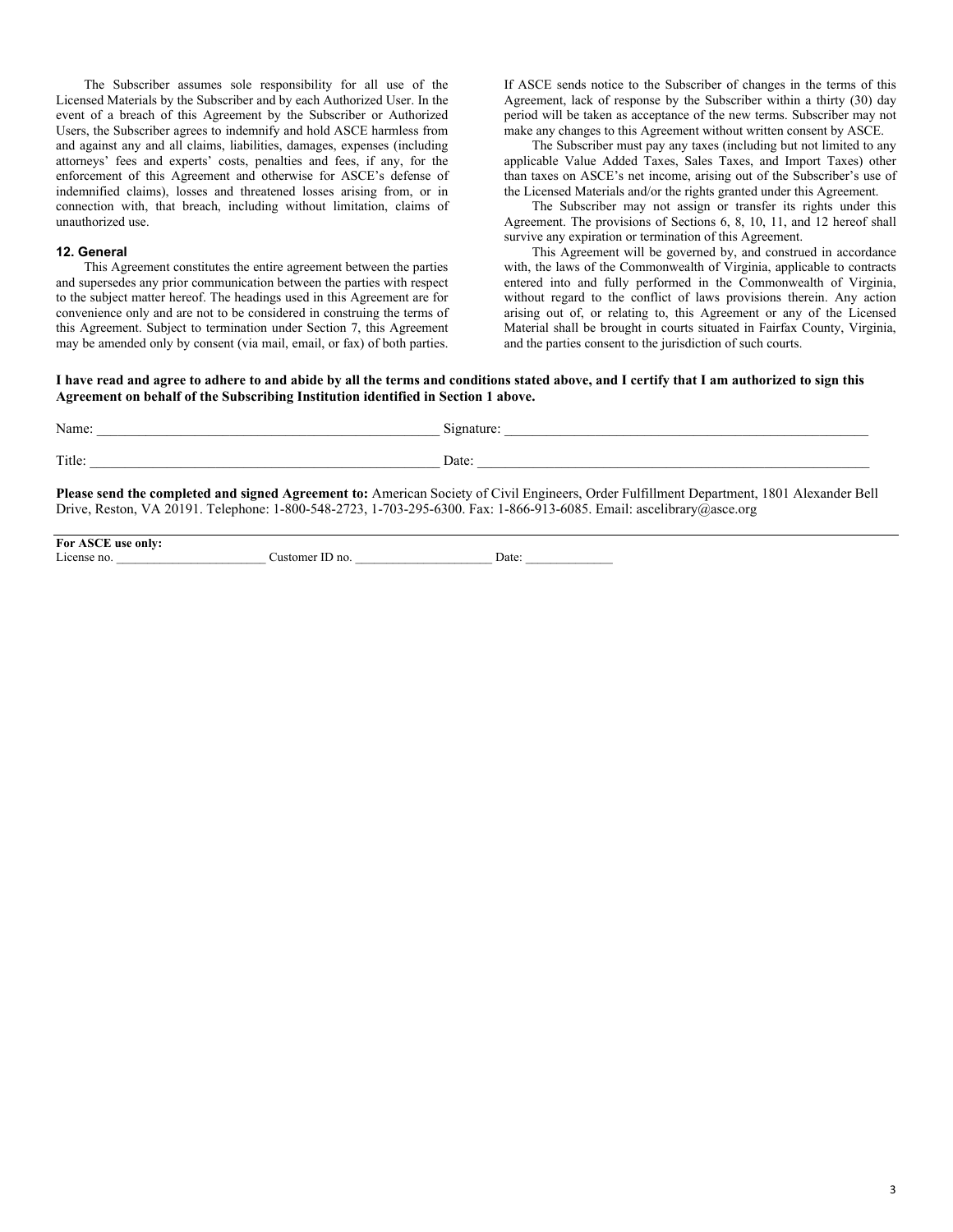The Subscriber assumes sole responsibility for all use of the Licensed Materials by the Subscriber and by each Authorized User. In the event of a breach of this Agreement by the Subscriber or Authorized Users, the Subscriber agrees to indemnify and hold ASCE harmless from and against any and all claims, liabilities, damages, expenses (including attorneys' fees and experts' costs, penalties and fees, if any, for the enforcement of this Agreement and otherwise for ASCE's defense of indemnified claims), losses and threatened losses arising from, or in connection with, that breach, including without limitation, claims of unauthorized use.

#### **12. General**

This Agreement constitutes the entire agreement between the parties and supersedes any prior communication between the parties with respect to the subject matter hereof. The headings used in this Agreement are for convenience only and are not to be considered in construing the terms of this Agreement. Subject to termination under Section 7, this Agreement may be amended only by consent (via mail, email, or fax) of both parties. If ASCE sends notice to the Subscriber of changes in the terms of this Agreement, lack of response by the Subscriber within a thirty (30) day period will be taken as acceptance of the new terms. Subscriber may not make any changes to this Agreement without written consent by ASCE.

The Subscriber must pay any taxes (including but not limited to any applicable Value Added Taxes, Sales Taxes, and Import Taxes) other than taxes on ASCE's net income, arising out of the Subscriber's use of the Licensed Materials and/or the rights granted under this Agreement.

The Subscriber may not assign or transfer its rights under this Agreement. The provisions of Sections 6, 8, 10, 11, and 12 hereof shall survive any expiration or termination of this Agreement.

This Agreement will be governed by, and construed in accordance with, the laws of the Commonwealth of Virginia, applicable to contracts entered into and fully performed in the Commonwealth of Virginia, without regard to the conflict of laws provisions therein. Any action arising out of, or relating to, this Agreement or any of the Licensed Material shall be brought in courts situated in Fairfax County, Virginia, and the parties consent to the jurisdiction of such courts.

**I have read and agree to adhere to and abide by all the terms and conditions stated above, and I certify that I am authorized to sign this Agreement on behalf of the Subscribing Institution identified in Section 1 above.** 

| Name:  | Signature: |
|--------|------------|
| Title: | Date:      |

**Please send the completed and signed Agreement to:** American Society of Civil Engineers, Order Fulfillment Department, 1801 Alexander Bell Drive, Reston, VA 20191. Telephone: 1-800-548-2723, 1-703-295-6300. Fax: 1-866-913-6085. Email: ascelibrary@asce.org

**For ASCE use only:**  License no. <br>
Customer ID no. <br>
Date: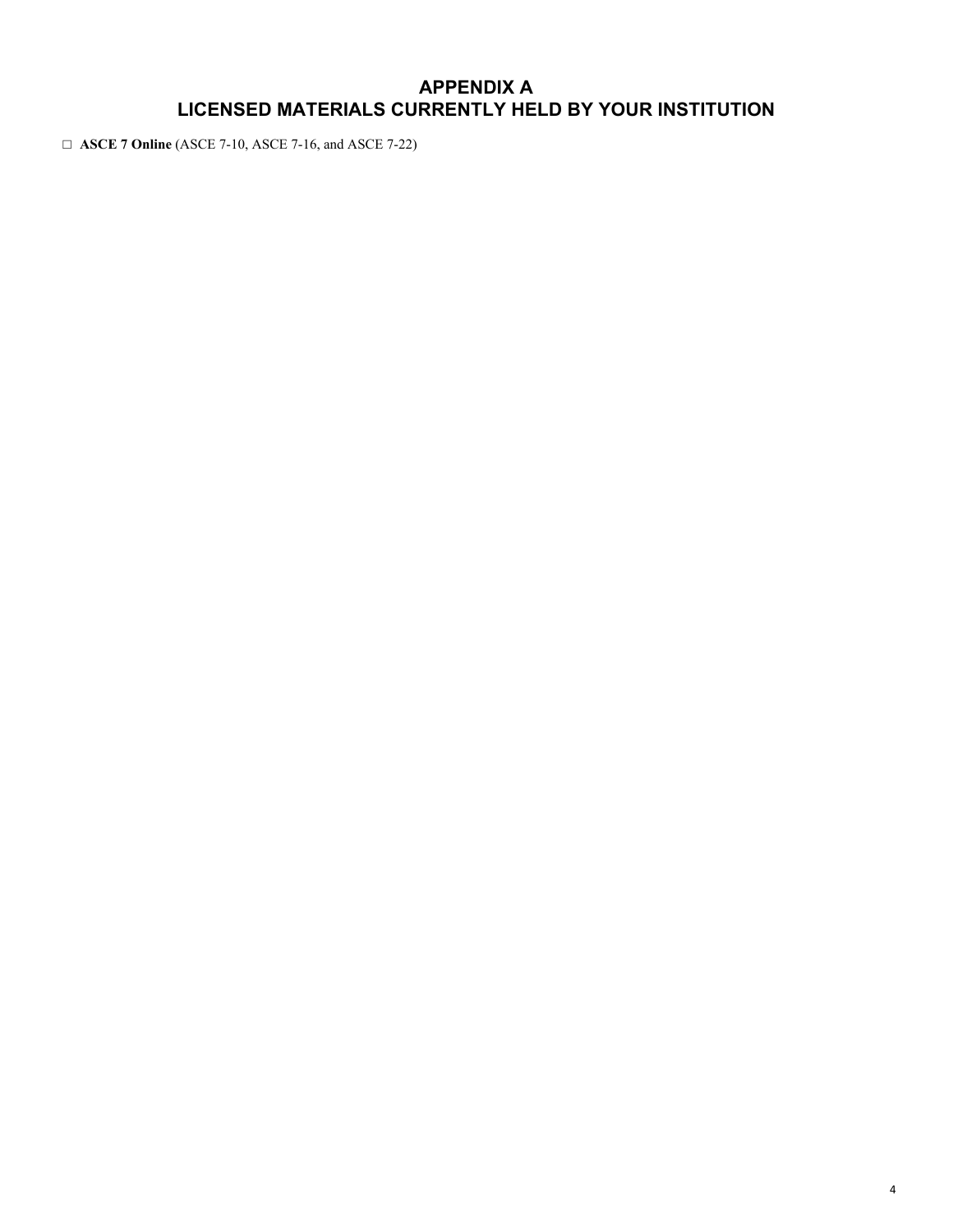## **APPENDIX A LICENSED MATERIALS CURRENTLY HELD BY YOUR INSTITUTION**

□ **ASCE 7 Online** (ASCE 7-10, ASCE 7-16, and ASCE 7-22)